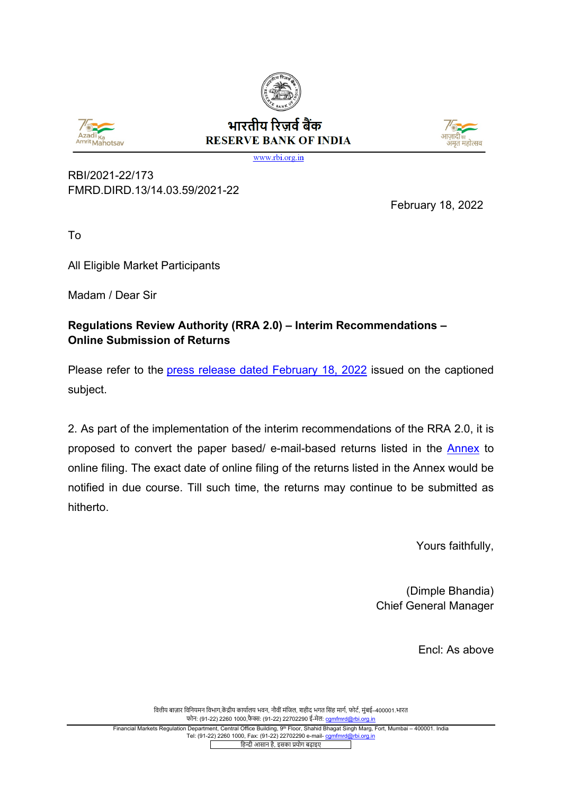



## भारतीय रिजर्व बैंक **RESERVE BANK OF INDIA**



www.rbi.org.in

RBI/2021-22/173 FMRD.DIRD.13/14.03.59/2021-22

February 18, 2022

To

All Eligible Market Participants

Madam / Dear Sir

## **Regulations Review Authority (RRA 2.0) – Interim Recommendations – Online Submission of Returns**

Please refer to the [press release dated February 18, 2022](https://rbi.org.in/Scripts/BS_PressReleaseDisplay.aspx?prid=53293) issued on the captioned subject.

2. As part of the implementation of the interim recommendations of the RRA 2.0, it is proposed to convert the paper based/ e-mail-based returns listed in the [Annex](#page-1-0) to online filing. The exact date of online filing of the returns listed in the Annex would be notified in due course. Till such time, the returns may continue to be submitted as hitherto.

Yours faithfully,

(Dimple Bhandia) Chief General Manager

Encl: As above

वित्तीय बाज़ार विनियमन विभाग,केंद्रीय कार्यालय भवन, नौवीं मंजिल, शहीद भगत सिंह मार्ग, फोर्ट, मंबई–400001.भारत फोन: (91-22) 2260 1000,फै �: (91-22) 22702290 ई-मेल[: cgmfmrd@rbi.org.in](mailto:cgmfmrd@rbi.org.in)